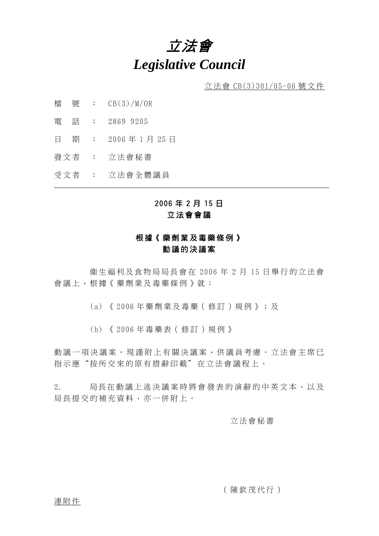# 立法會 *Legislative Council*

立法會 CB(3)301/05-06 號文件

- 檔 號 : CB(3)/M/OR
- 電 話 : 2869 9205
- 日 期 : 2006 年 1 月 25 日
- 發文者 : 立法會秘書
- 受文者 : 立法會全體議員

# 2006 年 2 月 15 日 立法會會議

### 根據《藥劑業及毒藥條例》 動議的決議案

 生福利及食物局局長會在 2006 年 2 月 15 日舉行的立法會 會議上,根據《藥劑業及毒藥條例》就:

- (a) 《 2006 年藥劑業及毒藥(修訂)規例》;及
- (b) 《 2006 年毒藥表(修訂)規例》

動議一項決議案。現謹附上有關決議案,供議員考慮。立法會主席已 指示應"按所交來的原有措辭印載"在立法會議程上。

2. 局長在動議上述決議案時將會發表的演辭的中英文本,以及 局長提交的補充資料,亦一併附上。

#### 立法會秘書

(陳欽茂代行)

連附件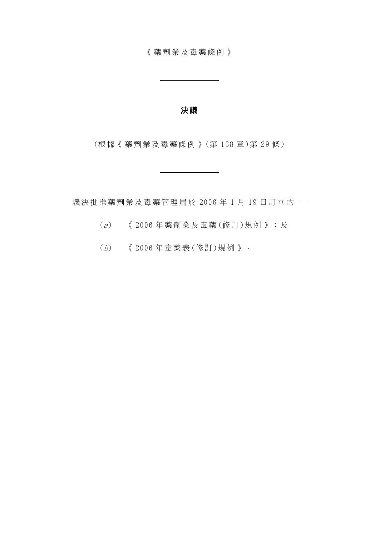《藥劑業及毒藥條例》

 $\mathbb{R}^2$ 

#### 決 議

(根據《藥劑業及毒藥條例》 (第 138 章 )第 29 條 )

議決批准藥劑業及毒藥管理局於 2006 年 1 月 19 日訂立的 —

- $(a)$  《 2006 年藥劑業及毒藥(修訂)規例》;及
- (b) 《 2006 年毒藥表 (修 訂)規例》。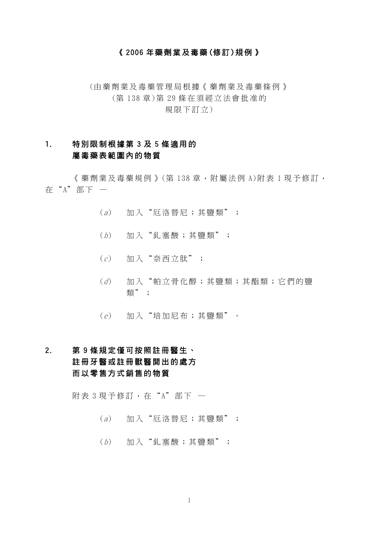#### 《 2006 年藥劑業及毒藥 (修訂 )規例》

(由藥劑業及毒藥管理局根據 《藥劑業及毒藥條例》 (第 138 章 )第 29 條在須經立法會批准的 規限下訂立)

# 1. 特別限制根據第 3 及 5 條適用的 屬毒藥表範圍內的物質

《藥劑業及毒藥規例》(第138章,附屬法例 A)附表 1 現予修訂, 在 "A"部下 -

- $(a)$  加入"厄洛替尼;其鹽類";
- $(b)$  加入"釓塞酸;其鹽類";
- $(c)$  加入"奈西立肽";
- (d) 加入"帕立骨化醇;其鹽類;其酯類;它們的鹽 類";
- $(e)$  加入"培加尼布;其鹽類"。

# 2. 第 9 條規定僅可按照註冊醫生、 註冊牙醫或註冊獸醫開出的處方 而以零售方式銷售的物質

附表 3 現予修訂, 在"A"部下 一

- $(a)$  加入"厄洛替尼;其鹽類";
- $(b)$  加入"釓塞酸;其鹽類";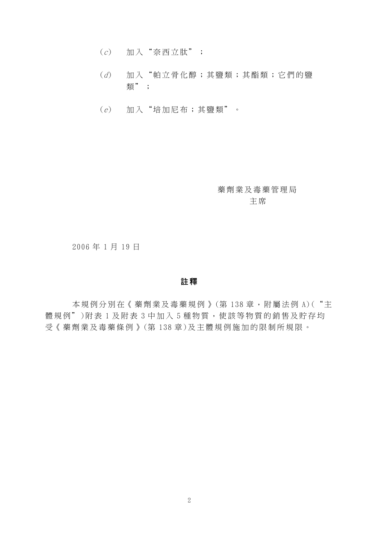- (c) 加入"奈西立肽";
- (d) 加入"帕立骨化醇;其鹽類;其酯類;它們的鹽 類";
- (e) 加入"培加尼布;其鹽類"。

藥劑業及毒藥管理局 主 席

2006 年 1 月 19 日

#### 註 釋

本規例分別在《藥劑業及毒藥規例》(第138章,附屬法例 A)("主 體規例")附表 1 及附表 3 中加入 5 種物質,使該等物質的銷售及貯存均 受《藥劑業及毒藥條例》 (第 138 章)及主體規例施加的限制所規限。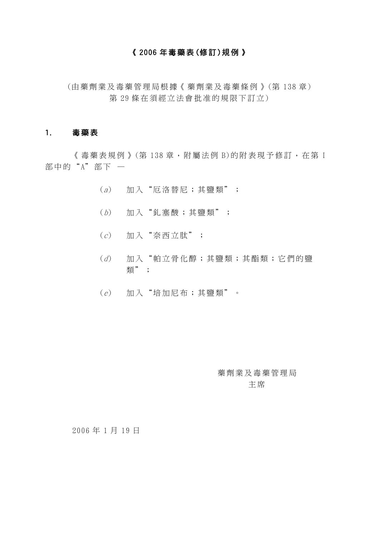#### 《 2006 年毒藥表(修 訂 )規例》

(由藥劑業及毒藥管理局根據 《藥劑業及毒藥條例》 (第 138 章) 第 29 條在須經立法會批准的規限下訂立)

#### 1. 毒藥表

《 毒藥表規例 》 (第 138 章, 附屬法例 B)的附表現予修訂, 在第 I 部中的"A"部下 —

- $(a)$  加入"厄洛替尼;其鹽類";
- $(b)$  加入"釓塞酸;其鹽類";
- $(c)$  加入"奈西立肽";
- (d) 加入"帕立骨化醇;其鹽類;其酯類;它們的鹽 類";
- $(e)$  加入"培加尼布;其鹽類"。

藥劑業及毒藥管理局 主 席

#### 2006 年 1 月 19 日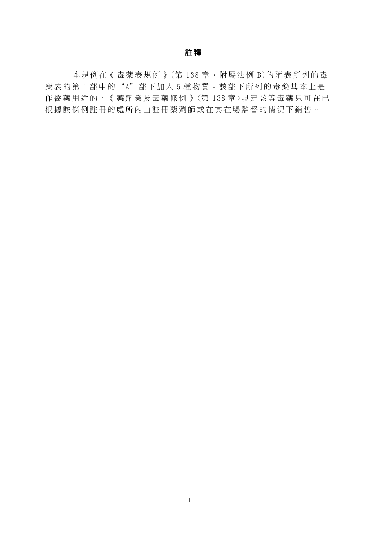#### 註 釋

本規例在《毒藥表規例》(第138章,附屬法例 B)的附表所列的毒 藥表的第 I 部中的" A"部下加入 5 種物質。該部下所列的毒藥基本上是 作醫藥用途的。《藥劑業及毒藥條例》(第138章)規定該等毒藥只可在已 根據該條例註冊的處所內由註冊藥劑師或在其在場監督的情況下銷售。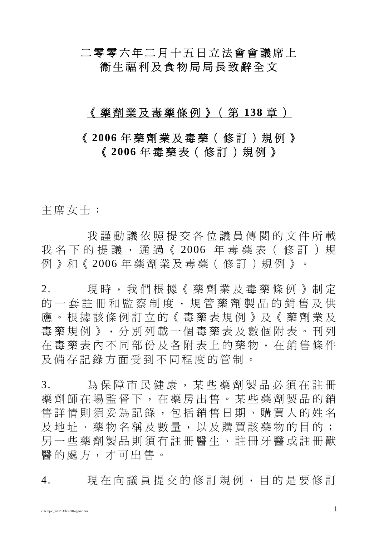# 二零零六年二月十五日立法會會議席上 衛生福利及食物局局長致辭全文

# 《藥劑業及毒藥條例》(第 **138** 章 )

# 《 **2006** 年藥劑業及毒藥(修訂)規例》 《 **2006** 年毒藥表(修訂)規例》

主席女士:

我謹動議依照提交各位議員傳閱的文件所載 我名下的提議,通過《 2006 年毒藥表(修訂)規 例》和《 2006 年藥劑業及毒藥(修訂)規例》。

2. 現時,我們根據《藥劑業及毒藥條例》制定 的一套註冊和監察制度,規管藥劑製品的銷售及供 應。根據該條例訂立的《毒藥表規例》及《藥劑業及 毒藥規例》,分別列載一個毒藥表及數個附表。刊列 在毒藥表內不同部份及各附表上的藥物,在銷售條件 及備存記錄方面受到不同程度的管制。

3. 為保障市民健康,某些藥劑製品必須在註冊 藥劑師在場監督下,在藥房出售。某些藥劑製品的銷 售詳情則須妥為記錄,包括銷售日期、購買人的姓名 及地址、藥物名稱及數量,以及購買該藥物的目的; 另一些藥劑製品則須有註冊醫生、註冊牙醫或註冊獸 醫的處方,才可出售。

4. 現在向議員提交的修訂規例,目的是要修訂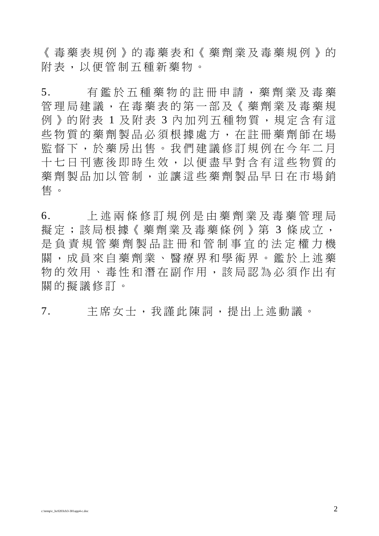《毒藥表規例》的毒藥表和《藥劑業及毒藥規例》的 附表,以便管制五種新藥物。

5. 有鑑於五種藥物的註冊申請,藥劑業及毒藥 管理局建議,在毒藥表的第一部及《藥劑業及毒藥規 例》的附表 1 及附表 3 內加列五種物質, 規定含有這 些物質的藥劑製品必須根據處方,在註冊藥劑師在場 監督下,於藥房出售。我們建議修訂規例在今年二月 十七日刊憲後即時生效,以便盡早對含有這些物質的 藥劑製品加以管制,並讓這些藥劑製品早日在市場銷 售 。

6. 上述兩條修訂規例是由藥劑業及毒藥管理局 擬定;該局根據《藥劑業及毒藥條例》第 3 條成立, 是負責規管藥劑製品註冊和管制事宜的法定權力機 關,成員來自藥劑業、醫療界和學術界。鑑於上述藥 物的效用、毒性和潛在副作用,該局認為必須作出有 關的擬議修訂。

7. 主席女士,我謹此陳詞,提出上述動議。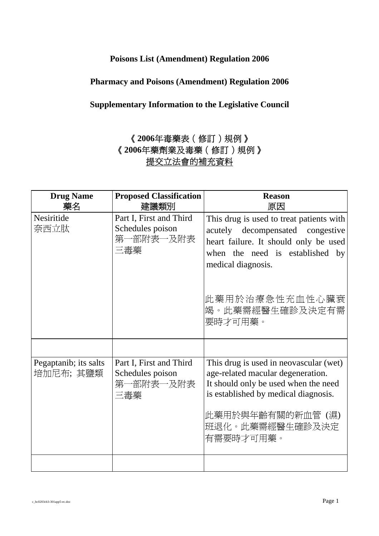### **Poisons List (Amendment) Regulation 2006**

### **Pharmacy and Poisons (Amendment) Regulation 2006**

# **Supplementary Information to the Legislative Council**

# 《**2006**年毒藥表(修訂)規例》 《**2006**年藥劑業及毒藥(修訂)規例》 提交立法會的補充資料

| <b>Drug Name</b><br>藥名             | <b>Proposed Classification</b><br>建議類別                          | <b>Reason</b><br>原因                                                                                                                                                                                              |
|------------------------------------|-----------------------------------------------------------------|------------------------------------------------------------------------------------------------------------------------------------------------------------------------------------------------------------------|
| Nesiritide<br>奈西立肽                 | Part I, First and Third<br>Schedules poison<br>第一部附表一及附表<br>三毒藥 | This drug is used to treat patients with<br>acutely decompensated congestive<br>heart failure. It should only be used<br>when the need is established by<br>medical diagnosis.                                   |
|                                    |                                                                 | 此藥用於治療急性充血性心臟衰<br>竭。此藥需經醫生確診及決定有需<br>要時才可用藥。                                                                                                                                                                     |
| Pegaptanib; its salts<br>培加尼布; 其鹽類 | Part I, First and Third<br>Schedules poison<br>第一部附表一及附表<br>三毒藥 | This drug is used in neovascular (wet)<br>age-related macular degeneration.<br>It should only be used when the need<br>is established by medical diagnosis.<br>此藥用於與年齡有關的新血管 (濕)<br>班退化。此藥需經醫生確診及決定<br>有需要時才可用藥。 |
|                                    |                                                                 |                                                                                                                                                                                                                  |